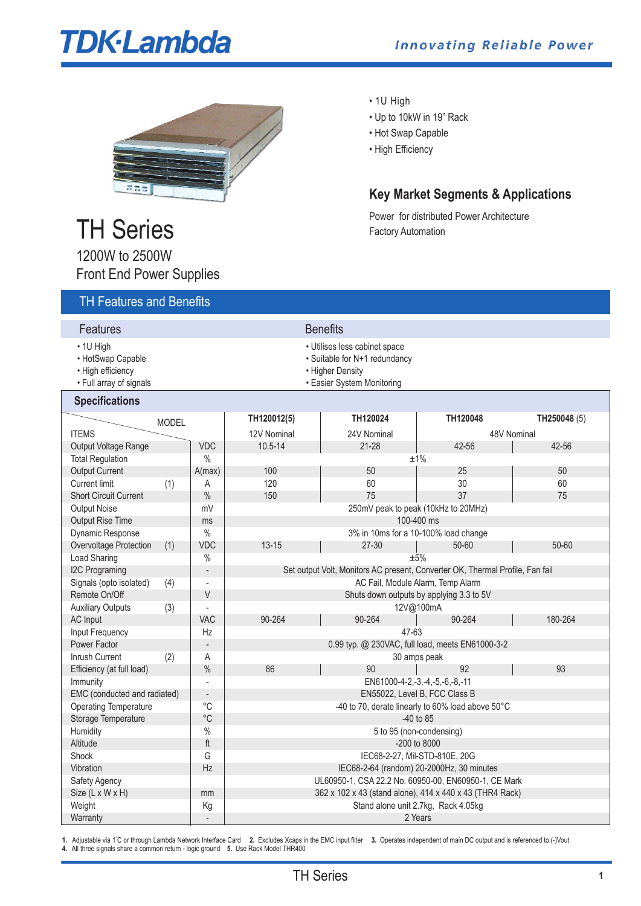# **TDK-Lambda**



# TH Series

• 1U High

- Up to 10kW in 19" Rack
- Hot Swap Capable
- High Efficiency

# **Key Market Segments & Applications**

Power for distributed Power Architecture Factory Automation

| <b>TH Features and Benefits</b>                                                |                         |                                                                                                                  |                                                                               |                                                      |           |              |  |  |  |
|--------------------------------------------------------------------------------|-------------------------|------------------------------------------------------------------------------------------------------------------|-------------------------------------------------------------------------------|------------------------------------------------------|-----------|--------------|--|--|--|
| Features                                                                       |                         |                                                                                                                  |                                                                               | <b>Benefits</b>                                      |           |              |  |  |  |
| • 1U High<br>• HotSwap Capable<br>• High efficiency<br>• Full array of signals |                         | • Utilises less cabinet space<br>· Suitable for N+1 redundancy<br>• Higher Density<br>• Easier System Monitoring |                                                                               |                                                      |           |              |  |  |  |
| <b>Specifications</b>                                                          |                         |                                                                                                                  |                                                                               |                                                      |           |              |  |  |  |
|                                                                                | <b>MODEL</b>            |                                                                                                                  | TH120012(5)                                                                   | TH120024                                             | TH120048  | TH250048 (5) |  |  |  |
| <b>ITEMS</b>                                                                   |                         |                                                                                                                  | 12V Nominal                                                                   | 24V Nominal                                          |           | 48V Nominal  |  |  |  |
| Output Voltage Range                                                           |                         | <b>VDC</b>                                                                                                       | $10.5 - 14$                                                                   | $21 - 28$                                            | 42-56     | 42-56        |  |  |  |
| <b>Total Regulation</b>                                                        |                         | $\%$                                                                                                             | ±1%                                                                           |                                                      |           |              |  |  |  |
| <b>Output Current</b>                                                          |                         | A(max)                                                                                                           | 100                                                                           | 50                                                   | 25        | 50           |  |  |  |
| <b>Current limit</b>                                                           | (1)                     | Α                                                                                                                | 120                                                                           | 60                                                   | 30        | 60           |  |  |  |
| <b>Short Circuit Current</b>                                                   |                         | $\frac{0}{0}$                                                                                                    | 150                                                                           | 75                                                   | 37        | 75           |  |  |  |
| <b>Output Noise</b>                                                            |                         | mV                                                                                                               | 250mV peak to peak (10kHz to 20MHz)                                           |                                                      |           |              |  |  |  |
| <b>Output Rise Time</b>                                                        |                         | ms                                                                                                               | 100-400 ms                                                                    |                                                      |           |              |  |  |  |
| Dynamic Response                                                               |                         | $\%$                                                                                                             | 3% in 10ms for a 10-100% load change                                          |                                                      |           |              |  |  |  |
| Overvoltage Protection                                                         | (1)                     | <b>VDC</b>                                                                                                       | $13 - 15$                                                                     | $27 - 30$                                            | $50 - 60$ | $50 - 60$    |  |  |  |
| Load Sharing                                                                   |                         | $\%$                                                                                                             | ±5%                                                                           |                                                      |           |              |  |  |  |
| <b>I2C Programing</b>                                                          |                         | $\overline{\phantom{a}}$                                                                                         | Set output Volt, Monitors AC present, Converter OK, Thermal Profile, Fan fail |                                                      |           |              |  |  |  |
| Signals (opto isolated)                                                        | (4)                     | $\overline{\phantom{a}}$                                                                                         | AC Fail, Module Alarm, Temp Alarm                                             |                                                      |           |              |  |  |  |
| Remote On/Off                                                                  |                         | V                                                                                                                | Shuts down outputs by applying 3.3 to 5V                                      |                                                      |           |              |  |  |  |
| <b>Auxiliary Outputs</b>                                                       | (3)                     | $\overline{a}$                                                                                                   | 12V@100mA                                                                     |                                                      |           |              |  |  |  |
| <b>AC</b> Input                                                                |                         | <b>VAC</b>                                                                                                       | 90-264                                                                        | 90-264                                               | 90-264    | 180-264      |  |  |  |
| Input Frequency                                                                |                         | Hz                                                                                                               | 47-63                                                                         |                                                      |           |              |  |  |  |
| Power Factor                                                                   |                         | $\Box$                                                                                                           | 0.99 typ. @ 230VAC, full load, meets EN61000-3-2                              |                                                      |           |              |  |  |  |
| Inrush Current                                                                 | (2)                     | A                                                                                                                | 30 amps peak                                                                  |                                                      |           |              |  |  |  |
| Efficiency (at full load)                                                      |                         | $\%$                                                                                                             | 86                                                                            | 90                                                   | 92        | 93           |  |  |  |
| Immunity                                                                       |                         | ÷,                                                                                                               | EN61000-4-2,-3,-4,-5,-6,-8,-11                                                |                                                      |           |              |  |  |  |
| EMC (conducted and radiated)                                                   |                         | $\overline{\phantom{a}}$                                                                                         | EN55022, Level B, FCC Class B                                                 |                                                      |           |              |  |  |  |
| $^{\circ}C$<br><b>Operating Temperature</b>                                    |                         | -40 to 70, derate linearly to 60% load above 50°C                                                                |                                                                               |                                                      |           |              |  |  |  |
| Storage Temperature                                                            |                         | $^{\circ}$ C                                                                                                     | $-40$ to 85                                                                   |                                                      |           |              |  |  |  |
| $\%$<br>Humidity                                                               |                         |                                                                                                                  | 5 to 95 (non-condensing)                                                      |                                                      |           |              |  |  |  |
| Altitude                                                                       | $\operatorname{\sf ft}$ |                                                                                                                  |                                                                               | $-200$ to 8000                                       |           |              |  |  |  |
| Shock                                                                          |                         | G                                                                                                                | IEC68-2-27, Mil-STD-810E, 20G                                                 |                                                      |           |              |  |  |  |
| Vibration                                                                      |                         | Hz                                                                                                               | IEC68-2-64 (random) 20-2000Hz, 30 minutes                                     |                                                      |           |              |  |  |  |
| Safety Agency                                                                  |                         |                                                                                                                  |                                                                               | UL60950-1, CSA 22.2 No. 60950-00, EN60950-1, CE Mark |           |              |  |  |  |
| Size (L x W x H)                                                               |                         | mm                                                                                                               | 362 x 102 x 43 (stand alone), 414 x 440 x 43 (THR4 Rack)                      |                                                      |           |              |  |  |  |
| Weight                                                                         |                         | Kg                                                                                                               | Stand alone unit 2.7kg, Rack 4.05kg                                           |                                                      |           |              |  |  |  |
| Warranty                                                                       |                         |                                                                                                                  |                                                                               |                                                      | 2 Years   |              |  |  |  |

**1.** Adjustable via 1˚ C or through Lambda Network Interface Card **2.** Excludes Xcaps in the EMC input filter **3.** Operates independent of main DC output and is referenced to (-)Vout **4.** All three signals share a common return - logic ground **5.** Use Rack Model THR400

1200W to 2500W Front End Power Supplies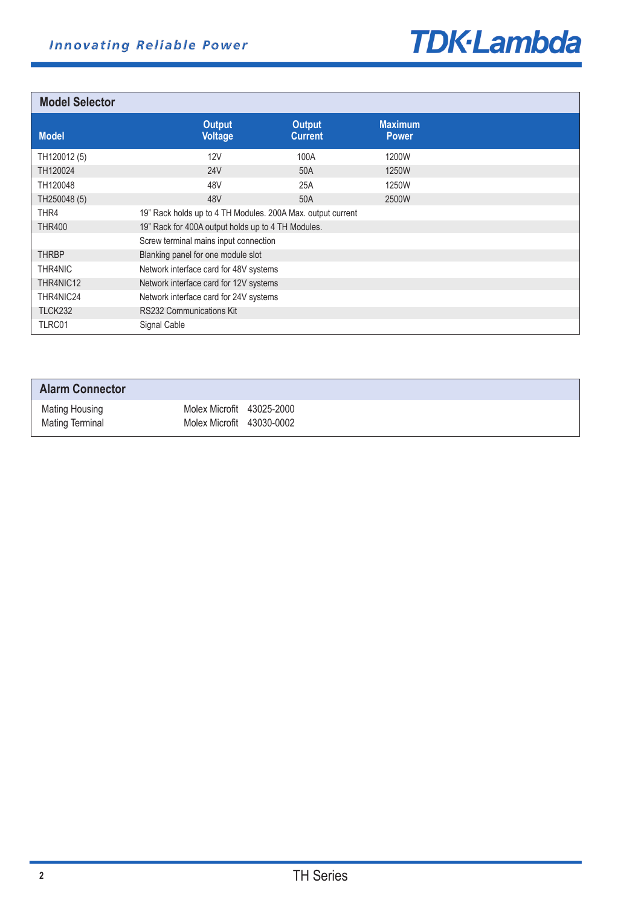

**Model Selector**

| <b>INIUUGI JEIELIUI</b> |                                                             |                                 |                                |  |  |
|-------------------------|-------------------------------------------------------------|---------------------------------|--------------------------------|--|--|
| <b>Model</b>            | <b>Output</b><br><b>Voltage</b>                             | <b>Output</b><br><b>Current</b> | <b>Maximum</b><br><b>Power</b> |  |  |
| TH120012 (5)            | 12V                                                         | 100A                            | 1200W                          |  |  |
| TH120024                | <b>24V</b>                                                  | 50A                             | 1250W                          |  |  |
| TH120048                | 48V                                                         | 25A                             | 1250W                          |  |  |
| TH250048 (5)            | 48V                                                         | 50A                             | 2500W                          |  |  |
| THR4                    | 19" Rack holds up to 4 TH Modules. 200A Max. output current |                                 |                                |  |  |
| <b>THR400</b>           | 19" Rack for 400A output holds up to 4 TH Modules.          |                                 |                                |  |  |
|                         | Screw terminal mains input connection                       |                                 |                                |  |  |
| <b>THRBP</b>            | Blanking panel for one module slot                          |                                 |                                |  |  |
| THR4NIC                 | Network interface card for 48V systems                      |                                 |                                |  |  |
| THR4NIC12               | Network interface card for 12V systems                      |                                 |                                |  |  |
| THR4NIC24               | Network interface card for 24V systems                      |                                 |                                |  |  |
| TLCK232                 | RS232 Communications Kit                                    |                                 |                                |  |  |
| TLRC01                  | Signal Cable                                                |                                 |                                |  |  |

| <b>Alarm Connector</b>                   |                                                        |  |
|------------------------------------------|--------------------------------------------------------|--|
| Mating Housing<br><b>Mating Terminal</b> | Molex Microfit 43025-2000<br>Molex Microfit 43030-0002 |  |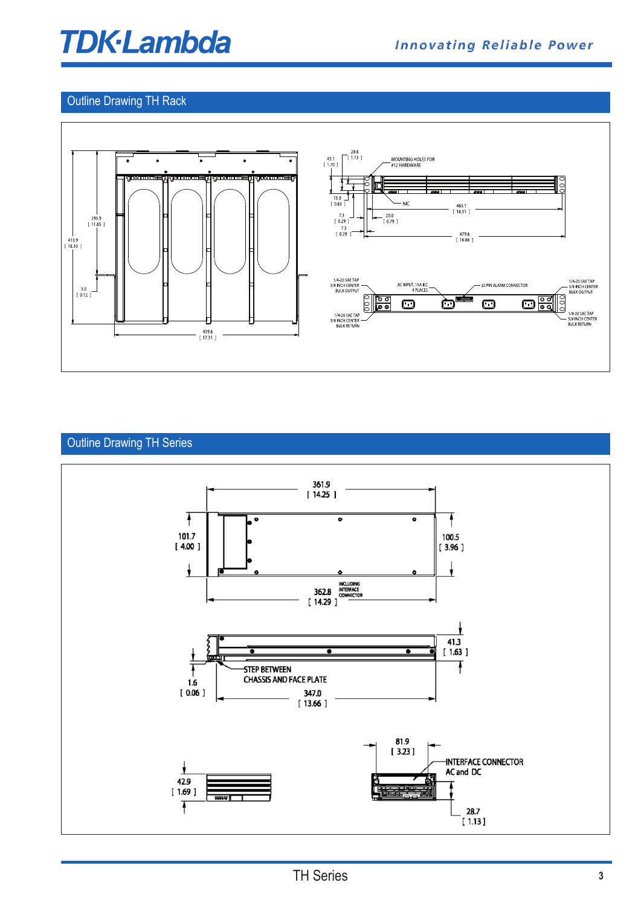# **TDK-Lambda**

## Outline Drawing TH Rack



# Outline Drawing TH Series